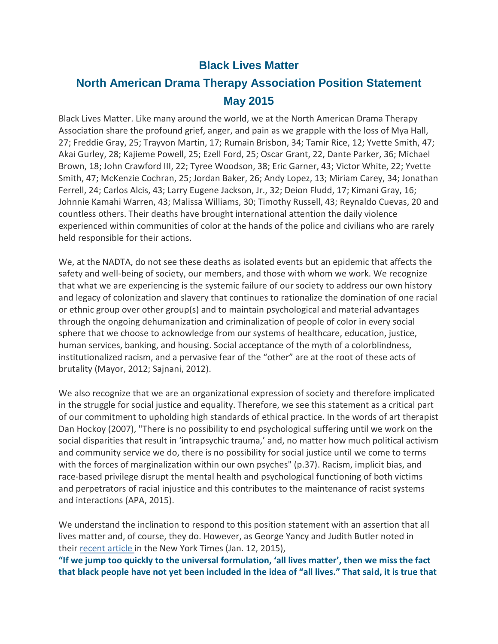#### **Black Lives Matter**

## **North American Drama Therapy Association Position Statement May 2015**

Black Lives Matter. Like many around the world, we at the North American Drama Therapy Association share the profound grief, anger, and pain as we grapple with the loss of Mya Hall, 27; Freddie Gray, 25; Trayvon Martin, 17; Rumain Brisbon, 34; Tamir Rice, 12; Yvette Smith, 47; Akai Gurley, 28; Kajieme Powell, 25; Ezell Ford, 25; Oscar Grant, 22, Dante Parker, 36; Michael Brown, 18; John Crawford III, 22; Tyree Woodson, 38; Eric Garner, 43; Victor White, 22; Yvette Smith, 47; McKenzie Cochran, 25; Jordan Baker, 26; Andy Lopez, 13; Miriam Carey, 34; Jonathan Ferrell, 24; Carlos Alcis, 43; Larry Eugene Jackson, Jr., 32; Deion Fludd, 17; Kimani Gray, 16; Johnnie Kamahi Warren, 43; Malissa Williams, 30; Timothy Russell, 43; Reynaldo Cuevas, 20 and countless others. Their deaths have brought international attention the daily violence experienced within communities of color at the hands of the police and civilians who are rarely held responsible for their actions.

We, at the NADTA, do not see these deaths as isolated events but an epidemic that affects the safety and well-being of society, our members, and those with whom we work. We recognize that what we are experiencing is the systemic failure of our society to address our own history and legacy of colonization and slavery that continues to rationalize the domination of one racial or ethnic group over other group(s) and to maintain psychological and material advantages through the ongoing dehumanization and criminalization of people of color in every social sphere that we choose to acknowledge from our systems of healthcare, education, justice, human services, banking, and housing. Social acceptance of the myth of a colorblindness, institutionalized racism, and a pervasive fear of the "other" are at the root of these acts of brutality (Mayor, 2012; Sajnani, 2012).

We also recognize that we are an organizational expression of society and therefore implicated in the struggle for social justice and equality. Therefore, we see this statement as a critical part of our commitment to upholding high standards of ethical practice. In the words of art therapist Dan Hockoy (2007), "There is no possibility to end psychological suffering until we work on the social disparities that result in 'intrapsychic trauma,' and, no matter how much political activism and community service we do, there is no possibility for social justice until we come to terms with the forces of marginalization within our own psyches" (p.37). Racism, implicit bias, and race-based privilege disrupt the mental health and psychological functioning of both victims and perpetrators of racial injustice and this contributes to the maintenance of racist systems and interactions (APA, 2015).

We understand the inclination to respond to this position statement with an assertion that all lives matter and, of course, they do. However, as George Yancy and Judith Butler noted in their [recent article](http://opinionator.blogs.nytimes.com/2015/01/12/whats-wrong-with-all-lives-matter/) in the New York Times (Jan. 12, 2015),

**"If we jump too quickly to the universal formulation, 'all lives matter', then we miss the fact that black people have not yet been included in the idea of "all lives." That said, it is true that**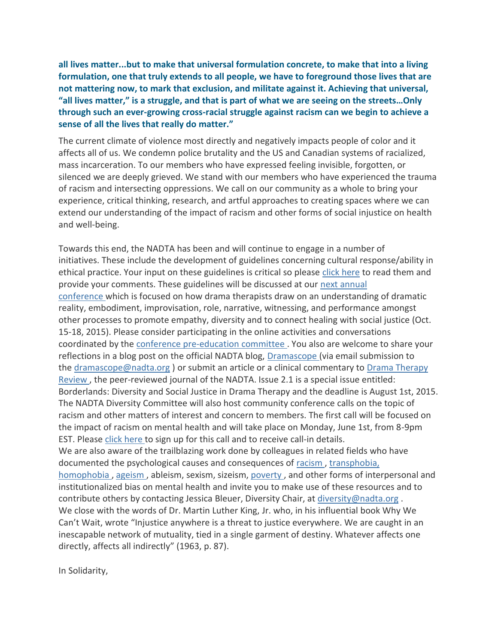**all lives matter...but to make that universal formulation concrete, to make that into a living formulation, one that truly extends to all people, we have to foreground those lives that are not mattering now, to mark that exclusion, and militate against it. Achieving that universal, "all lives matter," is a struggle, and that is part of what we are seeing on the streets…Only through such an ever-growing cross-racial struggle against racism can we begin to achieve a sense of all the lives that really do matter."**

The current climate of violence most directly and negatively impacts people of color and it affects all of us. We condemn police brutality and the US and Canadian systems of racialized, mass incarceration. To our members who have expressed feeling invisible, forgotten, or silenced we are deeply grieved. We stand with our members who have experienced the trauma of racism and intersecting oppressions. We call on our community as a whole to bring your experience, critical thinking, research, and artful approaches to creating spaces where we can extend our understanding of the impact of racism and other forms of social injustice on health and well-being.

Towards this end, the NADTA has been and will continue to engage in a number of initiatives. These include the development of guidelines concerning cultural response/ability in ethical practice. Your input on these guidelines is critical so please [click here](https://www.surveymonkey.com/r/culturalguidelines) to read them and provide your comments. These guidelines will be discussed at our [next annual](http://www.nadta.org/events/2015-annual-conference.html)  [conference](http://www.nadta.org/events/2015-annual-conference.html) which is focused on how drama therapists draw on an understanding of dramatic reality, embodiment, improvisation, role, narrative, witnessing, and performance amongst other processes to promote empathy, diversity and to connect healing with social justice (Oct. 15-18, 2015). Please consider participating in the online activities and conversations coordinated by the [conference pre-education committee](https://nadtaconference.wordpress.com/) . You also are welcome to share your reflections in a blog post on the official NADTA blog, [Dramascope](https://thedramascope.wordpress.com/) (via email submission to the [dramascope@nadta.org](javascript:void(location.href=) ) or submit an article or a clinical commentary to Drama Therapy [Review](http://www.intellectbooks.co.uk/journals/view-Journal,id=241/) , the peer-reviewed journal of the NADTA. Issue 2.1 is a special issue entitled: Borderlands: Diversity and Social Justice in Drama Therapy and the deadline is August 1st, 2015. The NADTA Diversity Committee will also host community conference calls on the topic of racism and other matters of interest and concern to members. The first call will be focused on the impact of racism on mental health and will take place on Monday, June 1st, from 8-9pm EST. Please [click here](https://docs.google.com/forms/d/1DLRah_GtcEF8vUdhe5_mWFtCtHUn5f5PtWwwgOTNgsQ/viewform?usp=send_form) to sign up for this call and to receive call-in details. We are also aware of the trailblazing work done by colleagues in related fields who have documented the psychological causes and consequences of [racism](http://www.bc.edu/content/dam/files/schools/lsoe_sites/isprc/pdf/racialtraumaisrealManuscript.pdf) , [transphobia,](http://www.apa.org/pi/lgbt/resources/policy/index.aspx)  [homophobia](http://www.apa.org/pi/lgbt/resources/policy/index.aspx) , [ageism](http://www.apa.org/monitor/may03/fighting.aspx) , ableism, sexism, sizeism, [poverty](http://www.apa.org/pi/ses/resources/publications/factsheet-erm.aspx) , and other forms of interpersonal and institutionalized bias on mental health and invite you to make use of these resources and to contribute others by contacting Jessica Bleuer, Diversity Chair, at [diversity@nadta.org](javascript:void(location.href=). We close with the words of Dr. Martin Luther King, Jr. who, in his influential book Why We Can't Wait, wrote "Injustice anywhere is a threat to justice everywhere. We are caught in an inescapable network of mutuality, tied in a single garment of destiny. Whatever affects one directly, affects all indirectly" (1963, p. 87).

In Solidarity,